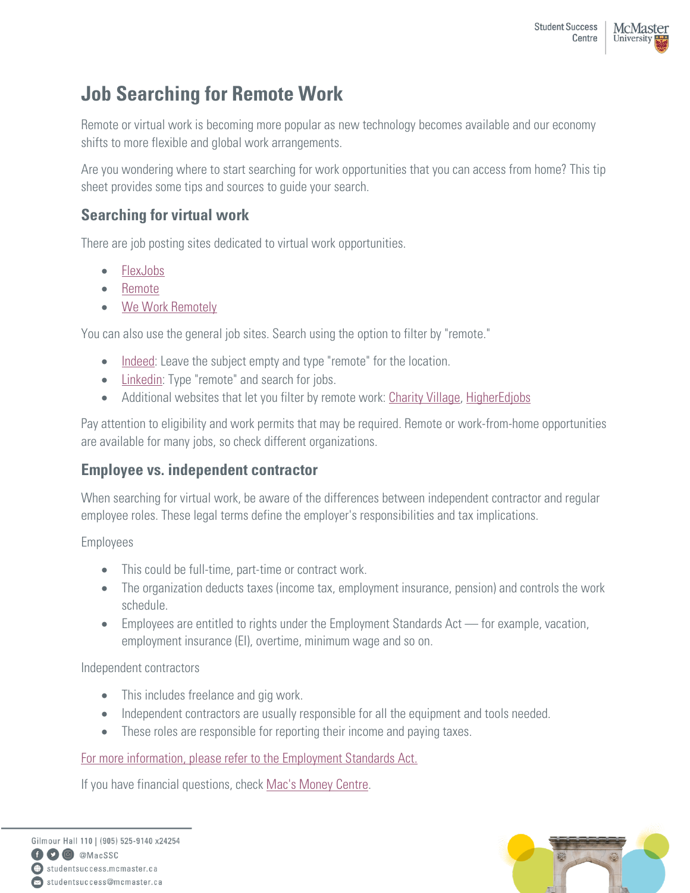# **Job Searching for Remote Work**

Remote or virtual work is becoming more popular as new technology becomes available and our economy shifts to more flexible and global work arrangements.

Are you wondering where to start searching for work opportunities that you can access from home? This tip sheet provides some tips and sources to guide your search.

## **Searching for virtual work**

There are job posting sites dedicated to virtual work opportunities.

- [FlexJobs](https://www.flexjobs.com/)
- [Remote](https://remote.com/)
- [We Work Remotely](https://weworkremotely.com/)

You can also use the general job sites. Search using the option to filter by "remote."

- [Indeed:](https://www.indeed.ca/) Leave the subject empty and type "remote" for the location.
- [Linkedin:](https://www.linkedin.com/) Type "remote" and search for jobs.
- Additional websites that let you filter by remote work: [Charity](https://charityvillage.com/?ts=1585443331) Village, [HigherEdjobs](https://www.higheredjobs.com/international/search.cfm?Remote=1,2&CountryCode=38&)

Pay attention to eligibility and work permits that may be required. Remote or work-from-home opportunities are available for many jobs, so check different organizations.

## **Employee vs. independent contractor**

When searching for virtual work, be aware of the differences between independent contractor and regular employee roles. These legal terms define the employer's responsibilities and tax implications.

Employees

- This could be full-time, part-time or contract work.
- The organization deducts taxes (income tax, employment insurance, pension) and controls the work schedule.
- Employees are entitled to rights under the Employment Standards Act for example, vacation, employment insurance (EI), overtime, minimum wage and so on.

Independent contractors

- This includes freelance and gig work.
- Independent contractors are usually responsible for all the equipment and tools needed.
- These roles are responsible for reporting their income and paying taxes.

#### [For more information, please refer to the Employment Standards Act.](https://www.ontario.ca/document/your-guide-employment-standards-act-0/employee-status)

If you have financial questions, check [Mac's Money Centre.](https://money.mcmaster.ca/)

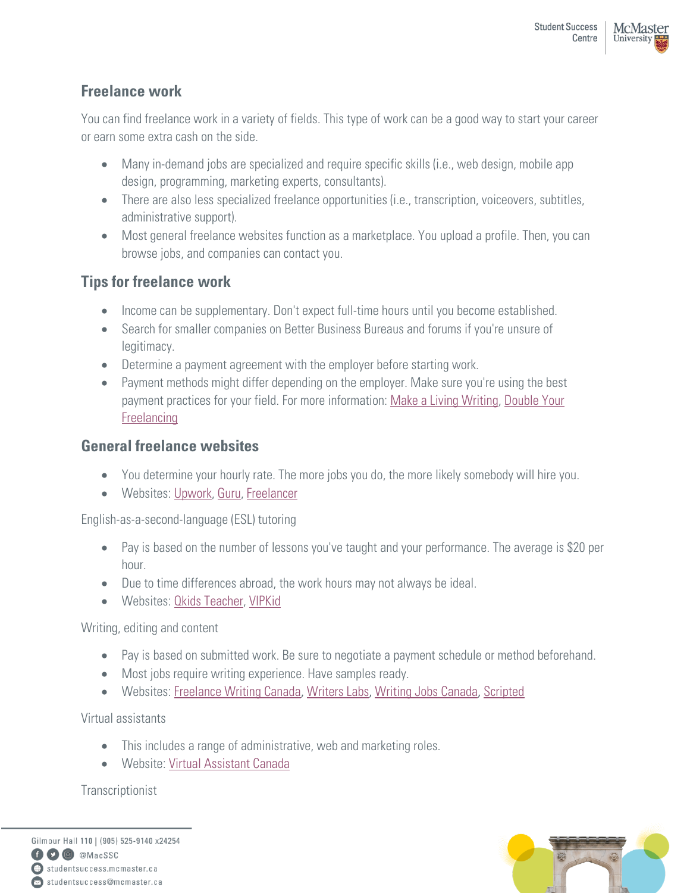### **Freelance work**

You can find freelance work in a variety of fields. This type of work can be a good way to start your career or earn some extra cash on the side.

- Many in-demand jobs are specialized and require specific skills (i.e., web design, mobile app design, programming, marketing experts, consultants).
- There are also less specialized freelance opportunities (i.e., transcription, voiceovers, subtitles, administrative support).
- Most general freelance websites function as a marketplace. You upload a profile. Then, you can browse jobs, and companies can contact you.

## **Tips for freelance work**

- Income can be supplementary. Don't expect full-time hours until you become established.
- Search for smaller companies on Better Business Bureaus and forums if you're unsure of legitimacy.
- Determine a payment agreement with the employer before starting work.
- Payment methods might differ depending on the employer. Make sure you're using the best payment practices for your field. For more information: [Make a Living Writing,](https://www.makealivingwriting.com/) Double Your [Freelancing](https://doubleyourfreelancing.com/)

#### **General freelance websites**

- You determine your hourly rate. The more jobs you do, the more likely somebody will hire you.
- Websites: [Upwork,](https://www.upwork.com/) [Guru,](https://www.guru.com/) [Freelancer](https://www.freelancer.com/)

English-as-a-second-language (ESL) tutoring

- Pay is based on the number of lessons you've taught and your performance. The average is \$20 per hour.
- Due to time differences abroad, the work hours may not always be ideal.
- Websites: Okids Teacher, [VIPKid](https://www.vipkid.com/teach)

Writing, editing and content

- Pay is based on submitted work. Be sure to negotiate a payment schedule or method beforehand.
- Most jobs require writing experience. Have samples ready.
- Websites: [Freelance Writing](http://www.freelancewritingjobs.ca/) Canada, [Writers Labs](https://canada.writerslabs.com/), [Writing Jobs Canada](https://writingjobscanada.ca/), [Scripted](https://www.scripted.com/)

Virtual assistants

- This includes a range of administrative, web and marketing roles.
- Website: [Virtual Assistant Canada](https://virtualassistantcanada.ca/)

**Transcriptionist** 

Gilmour Hall 110 | (905) 525-9140 x24254 O @ @MacSSC studentsuccess.mcmaster.ca Situdentsuccess@mcmaster.ca